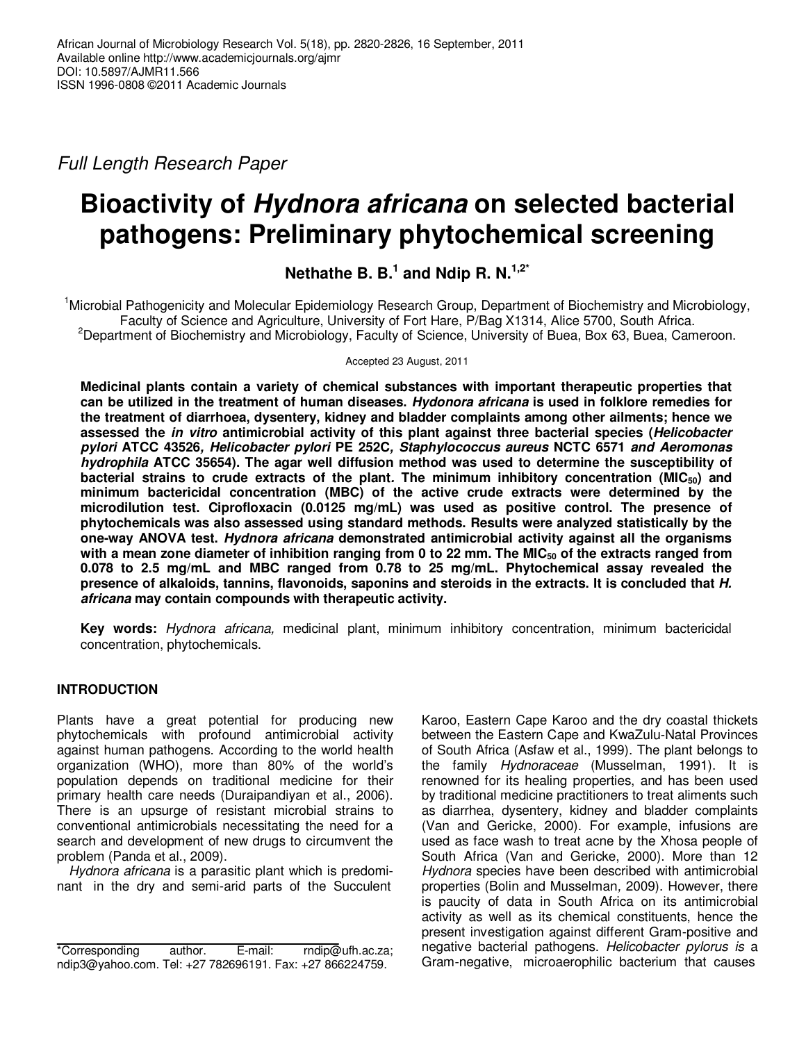Full Length Research Paper

# **Bioactivity of Hydnora africana on selected bacterial pathogens: Preliminary phytochemical screening**

**Nethathe B. B.<sup>1</sup> and Ndip R. N.1,2\***

<sup>1</sup>Microbial Pathogenicity and Molecular Epidemiology Research Group, Department of Biochemistry and Microbiology, Faculty of Science and Agriculture, University of Fort Hare, P/Bag X1314, Alice 5700, South Africa. <sup>2</sup>Department of Biochemistry and Microbiology, Faculty of Science, University of Buea, Box 63, Buea, Cameroon.

Accepted 23 August, 2011

**Medicinal plants contain a variety of chemical substances with important therapeutic properties that can be utilized in the treatment of human diseases. Hydonora africana is used in folklore remedies for the treatment of diarrhoea, dysentery, kidney and bladder complaints among other ailments; hence we assessed the in vitro antimicrobial activity of this plant against three bacterial species (Helicobacter pylori ATCC 43526, Helicobacter pylori PE 252C, Staphylococcus aureus NCTC 6571 and Aeromonas hydrophila ATCC 35654). The agar well diffusion method was used to determine the susceptibility of bacterial strains to crude extracts of the plant. The minimum inhibitory concentration (MIC50) and minimum bactericidal concentration (MBC) of the active crude extracts were determined by the microdilution test. Ciprofloxacin (0.0125 mg/mL) was used as positive control. The presence of phytochemicals was also assessed using standard methods. Results were analyzed statistically by the one-way ANOVA test. Hydnora africana demonstrated antimicrobial activity against all the organisms with a mean zone diameter of inhibition ranging from 0 to 22 mm. The MIC50 of the extracts ranged from 0.078 to 2.5 mg/mL and MBC ranged from 0.78 to 25 mg/mL. Phytochemical assay revealed the presence of alkaloids, tannins, flavonoids, saponins and steroids in the extracts. It is concluded that H. africana may contain compounds with therapeutic activity.** 

**Key words:** Hydnora africana, medicinal plant, minimum inhibitory concentration, minimum bactericidal concentration, phytochemicals.

# **INTRODUCTION**

Plants have a great potential for producing new phytochemicals with profound antimicrobial activity against human pathogens. According to the world health organization (WHO), more than 80% of the world's population depends on traditional medicine for their primary health care needs (Duraipandiyan et al., 2006). There is an upsurge of resistant microbial strains to conventional antimicrobials necessitating the need for a search and development of new drugs to circumvent the problem (Panda et al., 2009).

Hydnora africana is a parasitic plant which is predominant in the dry and semi-arid parts of the Succulent Karoo, Eastern Cape Karoo and the dry coastal thickets between the Eastern Cape and KwaZulu-Natal Provinces of South Africa (Asfaw et al., 1999). The plant belongs to the family Hydnoraceae (Musselman, 1991). It is renowned for its healing properties, and has been used by traditional medicine practitioners to treat aliments such as diarrhea, dysentery, kidney and bladder complaints (Van and Gericke, 2000). For example, infusions are used as face wash to treat acne by the Xhosa people of South Africa (Van and Gericke, 2000). More than 12 Hydnora species have been described with antimicrobial properties (Bolin and Musselman, 2009). However, there is paucity of data in South Africa on its antimicrobial activity as well as its chemical constituents, hence the present investigation against different Gram-positive and negative bacterial pathogens. Helicobacter pylorus is a Gram-negative, microaerophilic bacterium that causes

<sup>\*</sup>Corresponding author. E-mail: rndip@ufh.ac.za; ndip3@yahoo.com. Tel: +27 782696191. Fax: +27 866224759.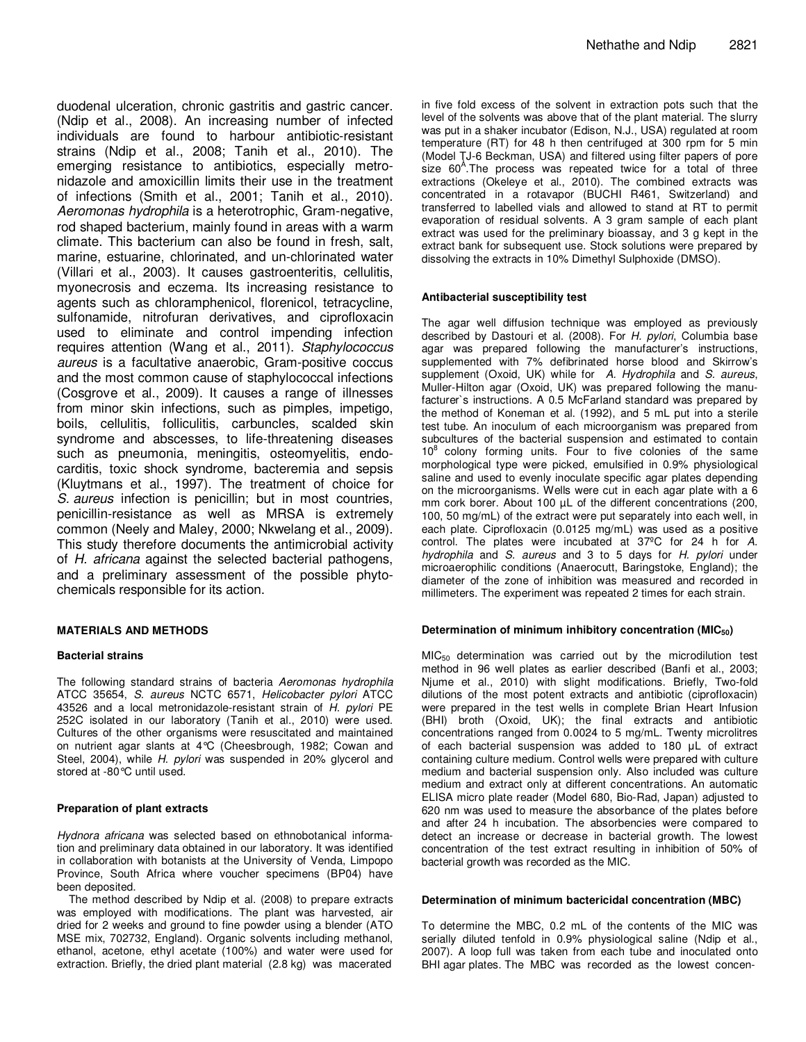duodenal ulceration, chronic gastritis and gastric cancer. (Ndip et al., 2008). An increasing number of infected individuals are found to harbour antibiotic-resistant strains (Ndip et al., 2008; Tanih et al., 2010). The emerging resistance to antibiotics, especially metronidazole and amoxicillin limits their use in the treatment of infections (Smith et al., 2001; Tanih et al., 2010). Aeromonas hydrophila is a heterotrophic, Gram-negative, rod shaped bacterium, mainly found in areas with a warm climate. This bacterium can also be found in fresh, salt, marine, estuarine, chlorinated, and un-chlorinated water (Villari et al., 2003). It causes gastroenteritis, cellulitis, myonecrosis and eczema. Its increasing resistance to agents such as chloramphenicol, florenicol, tetracycline, sulfonamide, nitrofuran derivatives, and ciprofloxacin used to eliminate and control impending infection requires attention (Wang et al., 2011). Staphylococcus aureus is a facultative anaerobic, Gram-positive coccus and the most common cause of staphylococcal infections (Cosgrove et al., 2009). It causes a range of illnesses from minor skin infections, such as pimples, impetigo, boils, cellulitis, folliculitis, carbuncles, scalded skin syndrome and abscesses, to life-threatening diseases such as pneumonia, meningitis, osteomyelitis, endocarditis, toxic shock syndrome, bacteremia and sepsis (Kluytmans et al., 1997). The treatment of choice for S. aureus infection is penicillin; but in most countries, penicillin-resistance as well as MRSA is extremely common (Neely and Maley, 2000; Nkwelang et al., 2009). This study therefore documents the antimicrobial activity of H. africana against the selected bacterial pathogens, and a preliminary assessment of the possible phytochemicals responsible for its action.

## **MATERIALS AND METHODS**

#### **Bacterial strains**

The following standard strains of bacteria Aeromonas hydrophila ATCC 35654, S. aureus NCTC 6571, Helicobacter pylori ATCC 43526 and a local metronidazole-resistant strain of H. pylori PE 252C isolated in our laboratory (Tanih et al., 2010) were used. Cultures of the other organisms were resuscitated and maintained on nutrient agar slants at 4°C (Cheesbrough, 1982; Cowan and Steel, 2004), while H. pylori was suspended in 20% glycerol and stored at -80°C until used.

#### **Preparation of plant extracts**

Hydnora africana was selected based on ethnobotanical information and preliminary data obtained in our laboratory. It was identified in collaboration with botanists at the University of Venda, Limpopo Province, South Africa where voucher specimens (BP04) have been deposited.

The method described by Ndip et al. (2008) to prepare extracts was employed with modifications. The plant was harvested, air dried for 2 weeks and ground to fine powder using a blender (ATO MSE mix, 702732, England). Organic solvents including methanol, ethanol, acetone, ethyl acetate (100%) and water were used for extraction. Briefly, the dried plant material (2.8 kg) was macerated

in five fold excess of the solvent in extraction pots such that the level of the solvents was above that of the plant material. The slurry was put in a shaker incubator (Edison, N.J., USA) regulated at room temperature (RT) for 48 h then centrifuged at 300 rpm for 5 min (Model TJ-6 Beckman, USA) and filtered using filter papers of pore size 60<sup>A</sup>. The process was repeated twice for a total of three extractions (Okeleye et al., 2010). The combined extracts was concentrated in a rotavapor (BUCHI R461, Switzerland) and transferred to labelled vials and allowed to stand at RT to permit evaporation of residual solvents. A 3 gram sample of each plant extract was used for the preliminary bioassay, and 3 g kept in the extract bank for subsequent use. Stock solutions were prepared by dissolving the extracts in 10% Dimethyl Sulphoxide (DMSO).

#### **Antibacterial susceptibility test**

The agar well diffusion technique was employed as previously described by Dastouri et al. (2008). For H. pylori, Columbia base agar was prepared following the manufacturer's instructions, supplemented with 7% defibrinated horse blood and Skirrow's supplement (Oxoid, UK) while for A. Hydrophila and S. aureus, Muller-Hilton agar (Oxoid, UK) was prepared following the manufacturer`s instructions. A 0.5 McFarland standard was prepared by the method of Koneman et al. (1992), and 5 mL put into a sterile test tube. An inoculum of each microorganism was prepared from subcultures of the bacterial suspension and estimated to contain  $10<sup>8</sup>$  colony forming units. Four to five colonies of the same morphological type were picked, emulsified in 0.9% physiological saline and used to evenly inoculate specific agar plates depending on the microorganisms. Wells were cut in each agar plate with a 6 mm cork borer. About 100 µL of the different concentrations (200, 100, 50 mg/mL) of the extract were put separately into each well, in each plate. Ciprofloxacin (0.0125 mg/mL) was used as a positive control. The plates were incubated at 37ºC for 24 h for A. hydrophila and S. aureus and 3 to 5 days for H. pylori under microaerophilic conditions (Anaerocutt, Baringstoke, England); the diameter of the zone of inhibition was measured and recorded in millimeters. The experiment was repeated 2 times for each strain.

#### **Determination of minimum inhibitory concentration (MIC50)**

 $MIC<sub>50</sub>$  determination was carried out by the microdilution test method in 96 well plates as earlier described (Banfi et al., 2003; Njume et al., 2010) with slight modifications. Briefly, Two-fold dilutions of the most potent extracts and antibiotic (ciprofloxacin) were prepared in the test wells in complete Brian Heart Infusion (BHI) broth (Oxoid, UK); the final extracts and antibiotic concentrations ranged from 0.0024 to 5 mg/mL. Twenty microlitres of each bacterial suspension was added to 180 µL of extract containing culture medium. Control wells were prepared with culture medium and bacterial suspension only. Also included was culture medium and extract only at different concentrations. An automatic ELISA micro plate reader (Model 680, Bio-Rad, Japan) adjusted to 620 nm was used to measure the absorbance of the plates before and after 24 h incubation. The absorbencies were compared to detect an increase or decrease in bacterial growth. The lowest concentration of the test extract resulting in inhibition of 50% of bacterial growth was recorded as the MIC.

#### **Determination of minimum bactericidal concentration (MBC)**

To determine the MBC, 0.2 mL of the contents of the MIC was serially diluted tenfold in 0.9% physiological saline (Ndip et al., 2007). A loop full was taken from each tube and inoculated onto BHI agar plates. The MBC was recorded as the lowest concen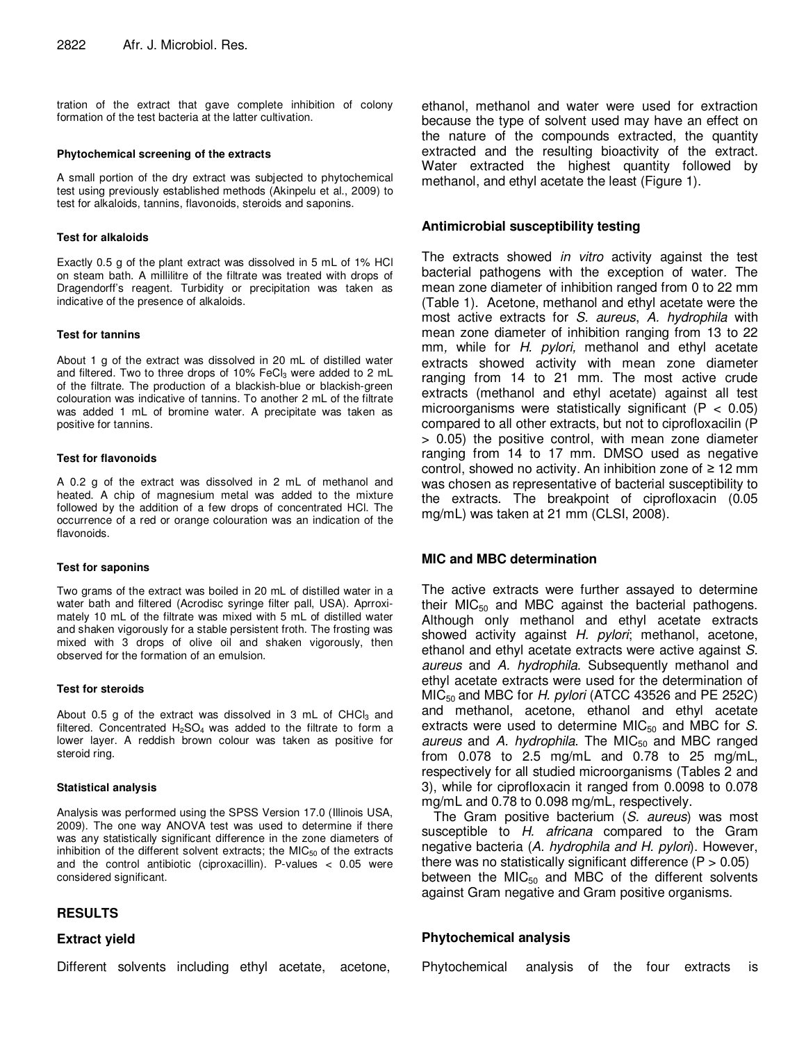tration of the extract that gave complete inhibition of colony formation of the test bacteria at the latter cultivation.

#### **Phytochemical screening of the extracts**

A small portion of the dry extract was subjected to phytochemical test using previously established methods (Akinpelu et al., 2009) to test for alkaloids, tannins, flavonoids, steroids and saponins.

#### **Test for alkaloids**

Exactly 0.5 g of the plant extract was dissolved in 5 mL of 1% HCl on steam bath. A millilitre of the filtrate was treated with drops of Dragendorff's reagent. Turbidity or precipitation was taken as indicative of the presence of alkaloids.

#### **Test for tannins**

About 1 g of the extract was dissolved in 20 mL of distilled water and filtered. Two to three drops of  $10\%$  FeCl<sub>3</sub> were added to 2 mL of the filtrate. The production of a blackish-blue or blackish-green colouration was indicative of tannins. To another 2 mL of the filtrate was added 1 mL of bromine water. A precipitate was taken as positive for tannins.

#### **Test for flavonoids**

A 0.2 g of the extract was dissolved in 2 mL of methanol and heated. A chip of magnesium metal was added to the mixture followed by the addition of a few drops of concentrated HCl. The occurrence of a red or orange colouration was an indication of the flavonoids.

#### **Test for saponins**

Two grams of the extract was boiled in 20 mL of distilled water in a water bath and filtered (Acrodisc syringe filter pall, USA). Aprroximately 10 mL of the filtrate was mixed with 5 mL of distilled water and shaken vigorously for a stable persistent froth. The frosting was mixed with 3 drops of olive oil and shaken vigorously, then observed for the formation of an emulsion.

#### **Test for steroids**

About 0.5 g of the extract was dissolved in 3 mL of CHCl $_3$  and filtered. Concentrated  $H_2SO_4$  was added to the filtrate to form a lower layer. A reddish brown colour was taken as positive for steroid ring.

## **Statistical analysis**

Analysis was performed using the SPSS Version 17.0 (Illinois USA, 2009). The one way ANOVA test was used to determine if there was any statistically significant difference in the zone diameters of inhibition of the different solvent extracts; the  $MIC_{50}$  of the extracts and the control antibiotic (ciproxacillin). P-values < 0.05 were considered significant.

## **RESULTS**

## **Extract yield**

Different solvents including ethyl acetate, acetone,

ethanol, methanol and water were used for extraction because the type of solvent used may have an effect on the nature of the compounds extracted, the quantity extracted and the resulting bioactivity of the extract. Water extracted the highest quantity followed by methanol, and ethyl acetate the least (Figure 1).

## **Antimicrobial susceptibility testing**

The extracts showed *in vitro* activity against the test bacterial pathogens with the exception of water. The mean zone diameter of inhibition ranged from 0 to 22 mm (Table 1). Acetone, methanol and ethyl acetate were the most active extracts for S. aureus, A. hydrophila with mean zone diameter of inhibition ranging from 13 to 22 mm, while for H. pylori, methanol and ethyl acetate extracts showed activity with mean zone diameter ranging from 14 to 21 mm. The most active crude extracts (methanol and ethyl acetate) against all test microorganisms were statistically significant ( $P < 0.05$ ) compared to all other extracts, but not to ciprofloxacilin (P > 0.05) the positive control, with mean zone diameter ranging from 14 to 17 mm. DMSO used as negative control, showed no activity. An inhibition zone of *≥* 12 mm was chosen as representative of bacterial susceptibility to the extracts. The breakpoint of ciprofloxacin (0.05 mg/mL) was taken at 21 mm (CLSI, 2008).

## **MIC and MBC determination**

The active extracts were further assayed to determine their  $MIC<sub>50</sub>$  and MBC against the bacterial pathogens. Although only methanol and ethyl acetate extracts showed activity against H. pylori; methanol, acetone, ethanol and ethyl acetate extracts were active against S. aureus and A. hydrophila. Subsequently methanol and ethyl acetate extracts were used for the determination of  $MIC<sub>50</sub>$  and MBC for H. pylori (ATCC 43526 and PE 252C) and methanol, acetone, ethanol and ethyl acetate extracts were used to determine MIC $_{50}$  and MBC for S. aureus and A. hydrophila. The MIC $_{50}$  and MBC ranged from 0.078 to 2.5 mg/mL and 0.78 to 25 mg/mL, respectively for all studied microorganisms (Tables 2 and 3), while for ciprofloxacin it ranged from 0.0098 to 0.078 mg/mL and 0.78 to 0.098 mg/mL, respectively.

The Gram positive bacterium (S. aureus) was most susceptible to H. africana compared to the Gram negative bacteria (A. hydrophila and H. pylori). However, there was no statistically significant difference  $(P > 0.05)$ between the  $MIC_{50}$  and MBC of the different solvents against Gram negative and Gram positive organisms.

## **Phytochemical analysis**

| Phytochemical analysis of the four extracts is |  |  |  |
|------------------------------------------------|--|--|--|
|                                                |  |  |  |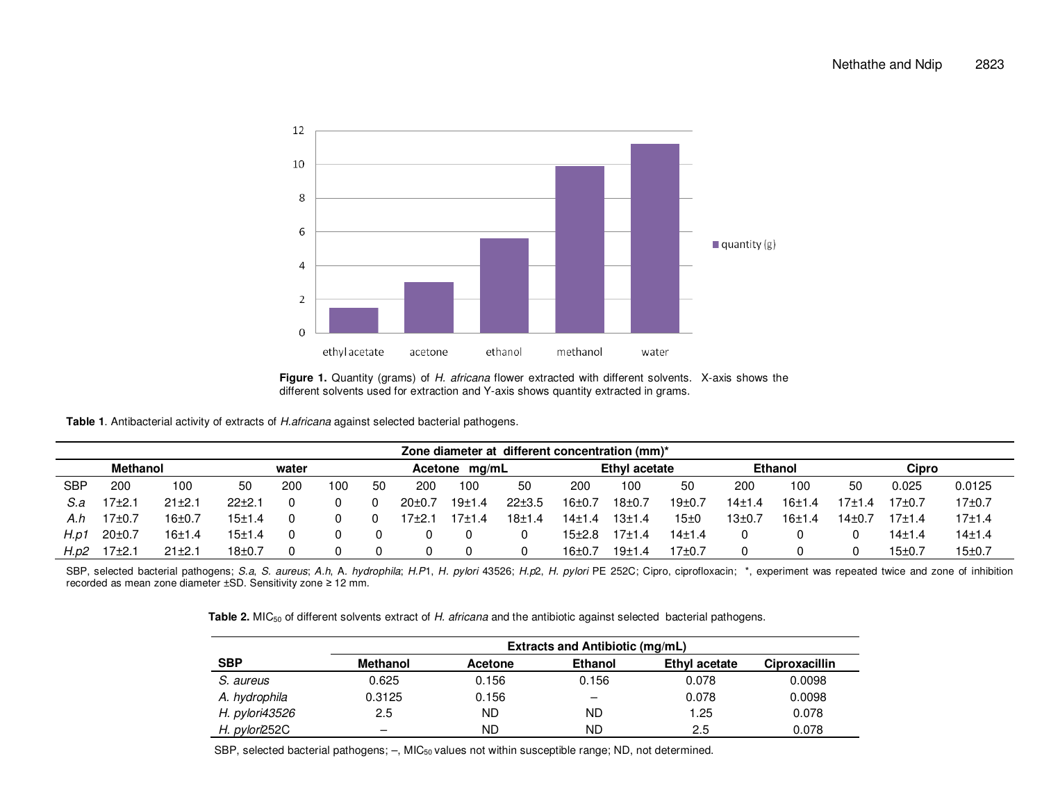

Figure 1. Quantity (grams) of H. africana flower extracted with different solvents. X-axis shows the different solvents used for extraction and Y-axis shows quantity extracted in grams.

**Table 1**. Antibacterial activity of extracts of H.africana against selected bacterial pathogens.

|                 | Zone diameter at different concentration (mm)* |            |          |     |     |    |                  |        |               |            |                |                     |                    |          |          |        |            |
|-----------------|------------------------------------------------|------------|----------|-----|-----|----|------------------|--------|---------------|------------|----------------|---------------------|--------------------|----------|----------|--------|------------|
| <b>Methanol</b> |                                                |            | water    |     |     |    | Acetone<br>ma/mL |        | Ethyl acetate |            | <b>Ethanol</b> |                     | Cipro              |          |          |        |            |
| SBP             | 200                                            | 100        | 50       | 200 | 100 | 50 | 200              | 100    | 50            | 200        | 100            | 50                  | 200                | 100      | 50       | 0.025  | 0.0125     |
| S.a             | $17+2.1$                                       | $21 + 2.1$ | $22+2.$  | 0   |     |    | $20+0.7$         | 19±1.4 | $22 + 3.5$    | $16+0.$    | 18±0.7         | 19 <sub>±</sub> 0.7 | 14±1.4             | $16+1.4$ | $17+1.4$ | 17+0.7 | 17±0.7     |
| A.h             | $17+0.7$                                       | $16 + 0.7$ | 15±1.4   | 0   |     |    | 17+2.1           | 17±1.4 | 18±1.4        | $14 + 1.4$ | 13±1.4         | 15±0                | 13 <sub>±0.7</sub> | 16±1.4   | 14±0.7   | 17±1.4 | $17 + 1.4$ |
| H.p1            | $20 \pm 0.7$                                   | 16±1.4     | 15±1.4   | 0   |     |    |                  | 0      |               | 15±2.8     | 17+1.4         | 14±1.4              |                    |          |          | 14±1.4 | 14±1.4     |
| H.p2            | $17+2.1$                                       | $21 + 2.1$ | $18+0.7$ |     |     |    |                  | 0      |               | 16±0.      | 19±1.4         | 17±0.7              |                    |          |          | 15±0.7 | 15±0.7     |

SBP, selected bacterial pathogens; S.a, S. aureus; A.h, A. hydrophila; H.P1, H. pylori 43526; H.p2, H. pylori PE 252C; Cipro, ciprofloxacin; \*, experiment was repeated twice and zone of inhibition recorded as mean zone diameter ±SD. Sensitivity zone *≥* 12 mm.

**Table 2.** MIC<sub>50</sub> of different solvents extract of H. africana and the antibiotic against selected bacterial pathogens.

|                | <b>Extracts and Antibiotic (mg/mL)</b> |                |                |               |               |  |  |  |  |  |
|----------------|----------------------------------------|----------------|----------------|---------------|---------------|--|--|--|--|--|
| <b>SBP</b>     | <b>Methanol</b>                        | <b>Acetone</b> | <b>Ethanol</b> | Ethyl acetate | Ciproxacillin |  |  |  |  |  |
| S. aureus      | 0.625                                  | 0.156          | 0.156          | 0.078         | 0.0098        |  |  |  |  |  |
| A. hydrophila  | 0.3125                                 | 0.156          |                | 0.078         | 0.0098        |  |  |  |  |  |
| H. pylori43526 | 2.5                                    | ND             | ND             | 1.25          | 0.078         |  |  |  |  |  |
| H. pylori252C  | -                                      | ND             | ND             | 2.5           | 0.078         |  |  |  |  |  |

SBP, selected bacterial pathogens;  $-$ , MIC<sub>50</sub> values not within susceptible range; ND, not determined.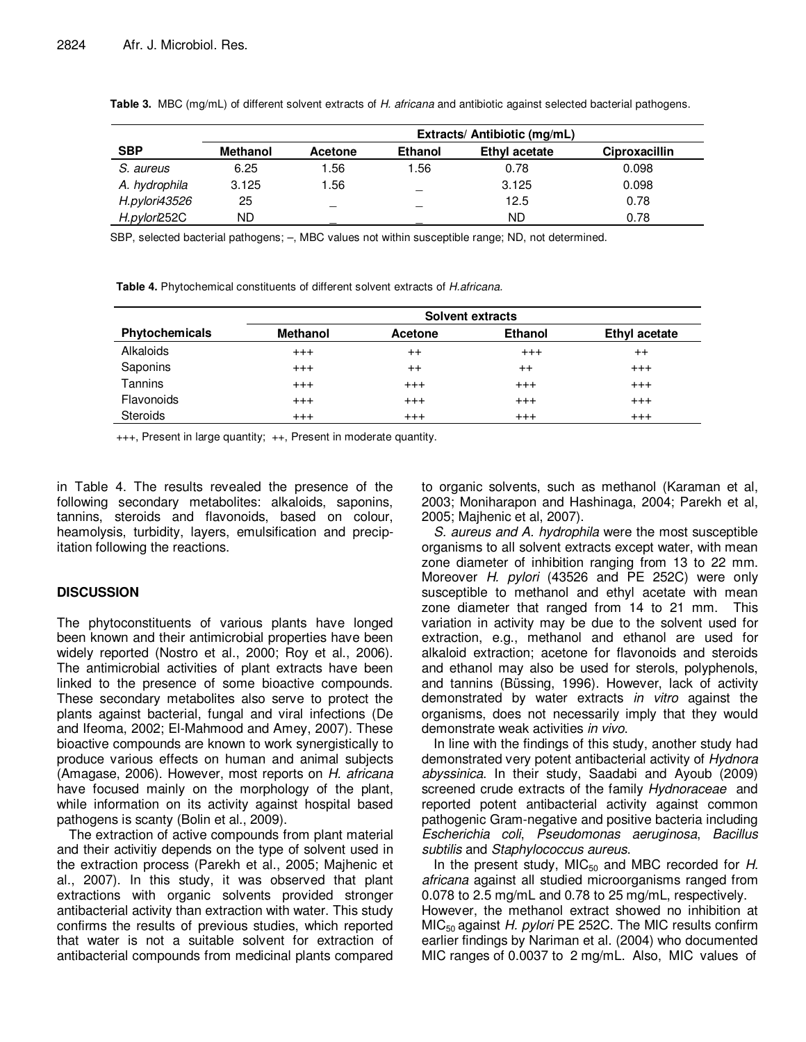|               | Extracts/ Antibiotic (mg/mL) |         |                |               |                      |  |  |  |  |
|---------------|------------------------------|---------|----------------|---------------|----------------------|--|--|--|--|
| <b>SBP</b>    | <b>Methanol</b>              | Acetone | <b>Ethanol</b> | Ethyl acetate | <b>Ciproxacillin</b> |  |  |  |  |
| S. aureus     | 6.25                         | 1.56    | 1.56           | 0.78          | 0.098                |  |  |  |  |
| A. hydrophila | 3.125                        | 1.56    |                | 3.125         | 0.098                |  |  |  |  |
| H.pylori43526 | 25                           |         |                | 12.5          | 0.78                 |  |  |  |  |
| H.pylori252C  | ND                           |         |                | <b>ND</b>     | 0.78                 |  |  |  |  |

**Table 3.** MBC (mg/mL) of different solvent extracts of H. africana and antibiotic against selected bacterial pathogens.

SBP, selected bacterial pathogens; –, MBC values not within susceptible range; ND, not determined.

**Table 4.** Phytochemical constituents of different solvent extracts of H.africana.

|                       | Solvent extracts |          |                |               |  |  |  |  |
|-----------------------|------------------|----------|----------------|---------------|--|--|--|--|
| <b>Phytochemicals</b> | <b>Methanol</b>  | Acetone  | <b>Ethanol</b> | Ethyl acetate |  |  |  |  |
| Alkaloids             | $^{+++}$         | $^{++}$  | $^{+++}$       | $^{++}$       |  |  |  |  |
| Saponins              | $^{+++}$         | $^{++}$  | $^{++}$        | $^{+++}$      |  |  |  |  |
| Tannins               | $^{+++}$         | $+++$    | $^{+++}$       | $^{++}$       |  |  |  |  |
| Flavonoids            | $^{+++}$         | $^{+++}$ | $^{+++}$       | $^{+++}$      |  |  |  |  |
| <b>Steroids</b>       | $^{+++}$         | $^{+++}$ | $^{+++}$       | $^{+++}$      |  |  |  |  |

+++, Present in large quantity; ++, Present in moderate quantity.

in Table 4. The results revealed the presence of the following secondary metabolites: alkaloids, saponins, tannins, steroids and flavonoids, based on colour, heamolysis, turbidity, layers, emulsification and precipitation following the reactions.

## **DISCUSSION**

The phytoconstituents of various plants have longed been known and their antimicrobial properties have been widely reported (Nostro et al., 2000; Roy et al., 2006). The antimicrobial activities of plant extracts have been linked to the presence of some bioactive compounds. These secondary metabolites also serve to protect the plants against bacterial, fungal and viral infections (De and Ifeoma, 2002; El-Mahmood and Amey, 2007). These bioactive compounds are known to work synergistically to produce various effects on human and animal subjects (Amagase, 2006). However, most reports on H. africana have focused mainly on the morphology of the plant, while information on its activity against hospital based pathogens is scanty (Bolin et al., 2009).

The extraction of active compounds from plant material and their activitiy depends on the type of solvent used in the extraction process (Parekh et al., 2005; Majhenic et al., 2007). In this study, it was observed that plant extractions with organic solvents provided stronger antibacterial activity than extraction with water. This study confirms the results of previous studies, which reported that water is not a suitable solvent for extraction of antibacterial compounds from medicinal plants compared to organic solvents, such as methanol (Karaman et al, 2003; Moniharapon and Hashinaga, 2004; Parekh et al, 2005; Majhenic et al, 2007).

S. aureus and A. hydrophila were the most susceptible organisms to all solvent extracts except water, with mean zone diameter of inhibition ranging from 13 to 22 mm. Moreover H. pylori (43526 and PE 252C) were only susceptible to methanol and ethyl acetate with mean zone diameter that ranged from 14 to 21 mm. This variation in activity may be due to the solvent used for extraction, e.g., methanol and ethanol are used for alkaloid extraction; acetone for flavonoids and steroids and ethanol may also be used for sterols, polyphenols, and tannins (Büssing, 1996). However, lack of activity demonstrated by water extracts in vitro against the organisms, does not necessarily imply that they would demonstrate weak activities in vivo.

In line with the findings of this study, another study had demonstrated very potent antibacterial activity of Hydnora abyssinica. In their study, Saadabi and Ayoub (2009) screened crude extracts of the family Hydnoraceae and reported potent antibacterial activity against common pathogenic Gram-negative and positive bacteria including Escherichia coli, Pseudomonas aeruginosa, Bacillus subtilis and Staphylococcus aureus.

In the present study,  $MIC_{50}$  and MBC recorded for H. africana against all studied microorganisms ranged from 0.078 to 2.5 mg/mL and 0.78 to 25 mg/mL, respectively.

However, the methanol extract showed no inhibition at  $MIC<sub>50</sub>$  against H. pylori PE 252C. The MIC results confirm earlier findings by Nariman et al. (2004) who documented MIC ranges of 0.0037 to 2 mg/mL. Also, MIC values of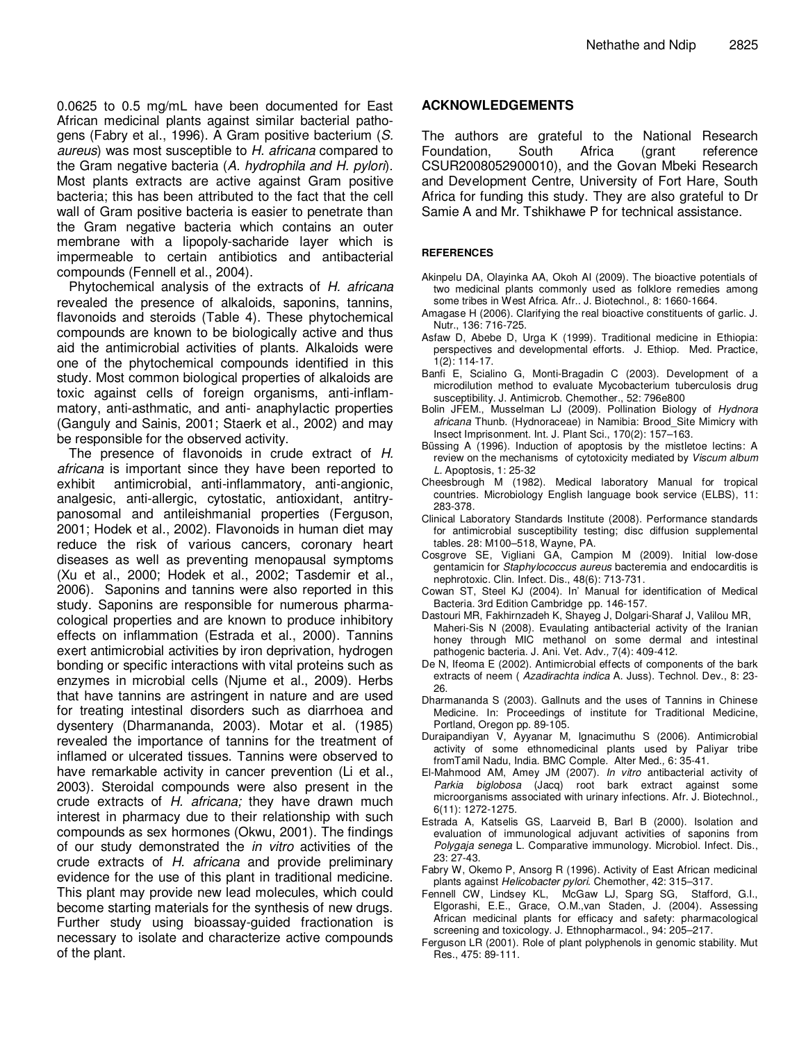0.0625 to 0.5 mg/mL have been documented for East African medicinal plants against similar bacterial pathogens (Fabry et al., 1996). A Gram positive bacterium (S. aureus) was most susceptible to H. africana compared to the Gram negative bacteria (A. hydrophila and H. pylori). Most plants extracts are active against Gram positive bacteria; this has been attributed to the fact that the cell wall of Gram positive bacteria is easier to penetrate than the Gram negative bacteria which contains an outer membrane with a lipopoly-sacharide layer which is impermeable to certain antibiotics and antibacterial compounds (Fennell et al., 2004).

Phytochemical analysis of the extracts of H. africana revealed the presence of alkaloids, saponins, tannins, flavonoids and steroids (Table 4). These phytochemical compounds are known to be biologically active and thus aid the antimicrobial activities of plants. Alkaloids were one of the phytochemical compounds identified in this study. Most common biological properties of alkaloids are toxic against cells of foreign organisms, anti-inflammatory, anti-asthmatic, and anti- anaphylactic properties (Ganguly and Sainis, 2001; Staerk et al., 2002) and may be responsible for the observed activity.

The presence of flavonoids in crude extract of H. africana is important since they have been reported to exhibit antimicrobial, anti-inflammatory, anti-angionic, analgesic, anti-allergic, cytostatic, antioxidant, antitrypanosomal and antileishmanial properties (Ferguson, 2001; Hodek et al., 2002). Flavonoids in human diet may reduce the risk of various cancers, coronary heart diseases as well as preventing menopausal symptoms (Xu et al., 2000; Hodek et al., 2002; Tasdemir et al., 2006). Saponins and tannins were also reported in this study. Saponins are responsible for numerous pharmacological properties and are known to produce inhibitory effects on inflammation (Estrada et al., 2000). Tannins exert antimicrobial activities by iron deprivation, hydrogen bonding or specific interactions with vital proteins such as enzymes in microbial cells (Njume et al., 2009). Herbs that have tannins are astringent in nature and are used for treating intestinal disorders such as diarrhoea and dysentery (Dharmananda, 2003). Motar et al. (1985) revealed the importance of tannins for the treatment of inflamed or ulcerated tissues. Tannins were observed to have remarkable activity in cancer prevention (Li et al., 2003). Steroidal compounds were also present in the crude extracts of H. africana; they have drawn much interest in pharmacy due to their relationship with such compounds as sex hormones (Okwu, 2001). The findings of our study demonstrated the *in vitro* activities of the crude extracts of H. africana and provide preliminary evidence for the use of this plant in traditional medicine. This plant may provide new lead molecules, which could become starting materials for the synthesis of new drugs. Further study using bioassay-guided fractionation is necessary to isolate and characterize active compounds of the plant.

## **ACKNOWLEDGEMENTS**

The authors are grateful to the National Research Foundation, South Africa (grant reference CSUR2008052900010), and the Govan Mbeki Research and Development Centre, University of Fort Hare, South Africa for funding this study. They are also grateful to Dr Samie A and Mr. Tshikhawe P for technical assistance.

#### **REFERENCES**

- Akinpelu DA, Olayinka AA, Okoh AI (2009). The bioactive potentials of two medicinal plants commonly used as folklore remedies among some tribes in West Africa. Afr.. J. Biotechnol., 8: 1660-1664.
- Amagase H (2006). Clarifying the real bioactive constituents of garlic. J. Nutr., 136: 716-725.
- Asfaw D, Abebe D, Urga K (1999). Traditional medicine in Ethiopia: perspectives and developmental efforts. J. Ethiop. Med. Practice, 1(2): 114-17.
- Banfi E, Scialino G, Monti-Bragadin C (2003). Development of a microdilution method to evaluate Mycobacterium tuberculosis drug susceptibility. J. Antimicrob. Chemother., 52: 796e800
- Bolin JFEM., Musselman LJ (2009). Pollination Biology of Hydnora africana Thunb. (Hydnoraceae) in Namibia: Brood\_Site Mimicry with Insect Imprisonment. Int. J. Plant Sci., 170(2): 157–163.
- Büssing A (1996). Induction of apoptosis by the mistletoe lectins: A review on the mechanisms of cytotoxicity mediated by Viscum album L. Apoptosis, 1: 25-32
- Cheesbrough M (1982). Medical laboratory Manual for tropical countries. Microbiology English language book service (ELBS), 11: 283-378.
- Clinical Laboratory Standards Institute (2008). Performance standards for antimicrobial susceptibility testing; disc diffusion supplemental tables. 28: M100–518, Wayne, PA.
- Cosgrove SE, Vigliani GA, Campion M (2009). Initial low-dose gentamicin for Staphylococcus aureus bacteremia and endocarditis is nephrotoxic. Clin. Infect. Dis., 48(6): 713-731.
- Cowan ST, Steel KJ (2004). In' Manual for identification of Medical Bacteria. 3rd Edition Cambridge pp. 146-157.
- Dastouri MR, Fakhirnzadeh K, Shayeg J, Dolgari-Sharaf J, Valilou MR, Maheri-Sis N (2008). Evaulating antibacterial activity of the Iranian honey through MIC methanol on some dermal and intestinal pathogenic bacteria. J. Ani. Vet. Adv., 7(4): 409-412.
- De N, Ifeoma E (2002). Antimicrobial effects of components of the bark extracts of neem (Azadirachta indica A. Juss). Technol. Dev., 8: 23-26.
- Dharmananda S (2003). Gallnuts and the uses of Tannins in Chinese Medicine. In: Proceedings of institute for Traditional Medicine, Portland, Oregon pp. 89-105.
- Duraipandiyan V, Ayyanar M, Ignacimuthu S (2006). Antimicrobial activity of some ethnomedicinal plants used by Paliyar tribe fromTamil Nadu, India. BMC Comple. Alter Med., 6: 35-41.
- El-Mahmood AM, Amey JM (2007). In vitro antibacterial activity of Parkia biglobosa (Jacq) root bark extract against some microorganisms associated with urinary infections. Afr. J. Biotechnol., 6(11): 1272-1275.
- Estrada A, Katselis GS, Laarveid B, Barl B (2000). Isolation and evaluation of immunological adjuvant activities of saponins from Polygaja senega L. Comparative immunology. Microbiol. Infect. Dis., 23: 27-43.
- Fabry W, Okemo P, Ansorg R (1996). Activity of East African medicinal plants against Helicobacter pylori. Chemother, 42: 315-317.
- Fennell CW, Lindsey KL, McGaw LJ, Sparg SG, Stafford, G.I., Elgorashi, E.E., Grace, O.M.,van Staden, J. (2004). Assessing African medicinal plants for efficacy and safety: pharmacological screening and toxicology. J. Ethnopharmacol., 94: 205–217.
- Ferguson LR (2001). Role of plant polyphenols in genomic stability. Mut Res., 475: 89-111.